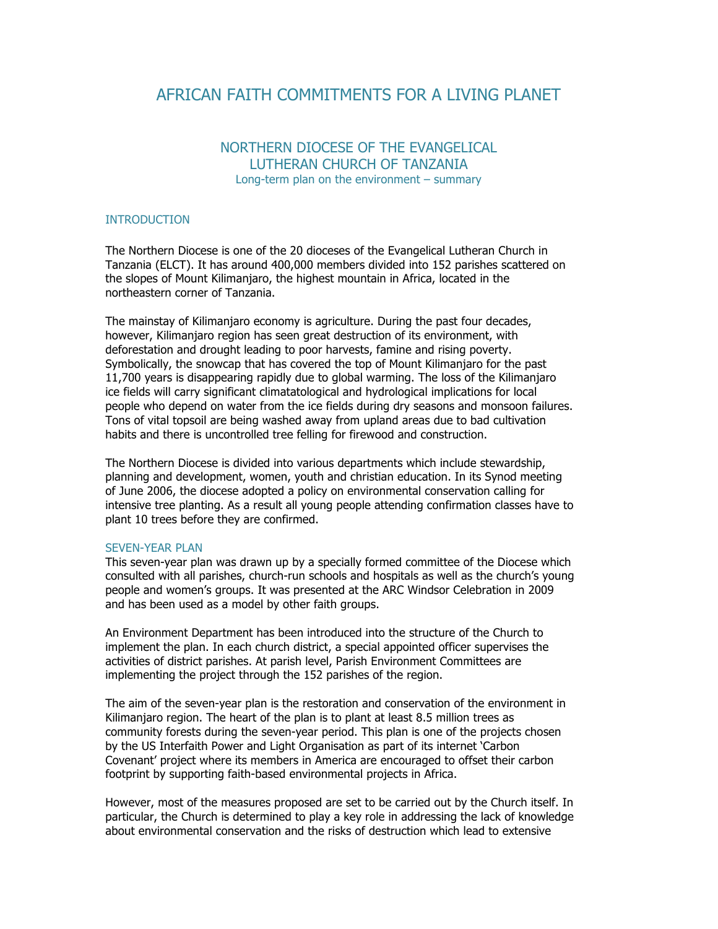# AFRICAN FAITH COMMITMENTS FOR A LIVING PLANET

## NORTHERN DIOCESE OF THE EVANGELICAL LUTHERAN CHURCH OF TANZANIA Long-term plan on the environment – summary

#### INTRODUCTION

The Northern Diocese is one of the 20 dioceses of the Evangelical Lutheran Church in Tanzania (ELCT). It has around 400,000 members divided into 152 parishes scattered on the slopes of Mount Kilimanjaro, the highest mountain in Africa, located in the northeastern corner of Tanzania.

The mainstay of Kilimanjaro economy is agriculture. During the past four decades, however, Kilimanjaro region has seen great destruction of its environment, with deforestation and drought leading to poor harvests, famine and rising poverty. Symbolically, the snowcap that has covered the top of Mount Kilimanjaro for the past 11,700 years is disappearing rapidly due to global warming. The loss of the Kilimanjaro ice fields will carry significant climatatological and hydrological implications for local people who depend on water from the ice fields during dry seasons and monsoon failures. Tons of vital topsoil are being washed away from upland areas due to bad cultivation habits and there is uncontrolled tree felling for firewood and construction.

The Northern Diocese is divided into various departments which include stewardship, planning and development, women, youth and christian education. In its Synod meeting of June 2006, the diocese adopted a policy on environmental conservation calling for intensive tree planting. As a result all young people attending confirmation classes have to plant 10 trees before they are confirmed.

#### SEVEN-YEAR PLAN

This seven-year plan was drawn up by a specially formed committee of the Diocese which consulted with all parishes, church-run schools and hospitals as well as the church's young people and women's groups. It was presented at the ARC Windsor Celebration in 2009 and has been used as a model by other faith groups.

An Environment Department has been introduced into the structure of the Church to implement the plan. In each church district, a special appointed officer supervises the activities of district parishes. At parish level, Parish Environment Committees are implementing the project through the 152 parishes of the region.

The aim of the seven-year plan is the restoration and conservation of the environment in Kilimanjaro region. The heart of the plan is to plant at least 8.5 million trees as community forests during the seven-year period. This plan is one of the projects chosen by the US Interfaith Power and Light Organisation as part of its internet 'Carbon Covenant' project where its members in America are encouraged to offset their carbon footprint by supporting faith-based environmental projects in Africa.

However, most of the measures proposed are set to be carried out by the Church itself. In particular, the Church is determined to play a key role in addressing the lack of knowledge about environmental conservation and the risks of destruction which lead to extensive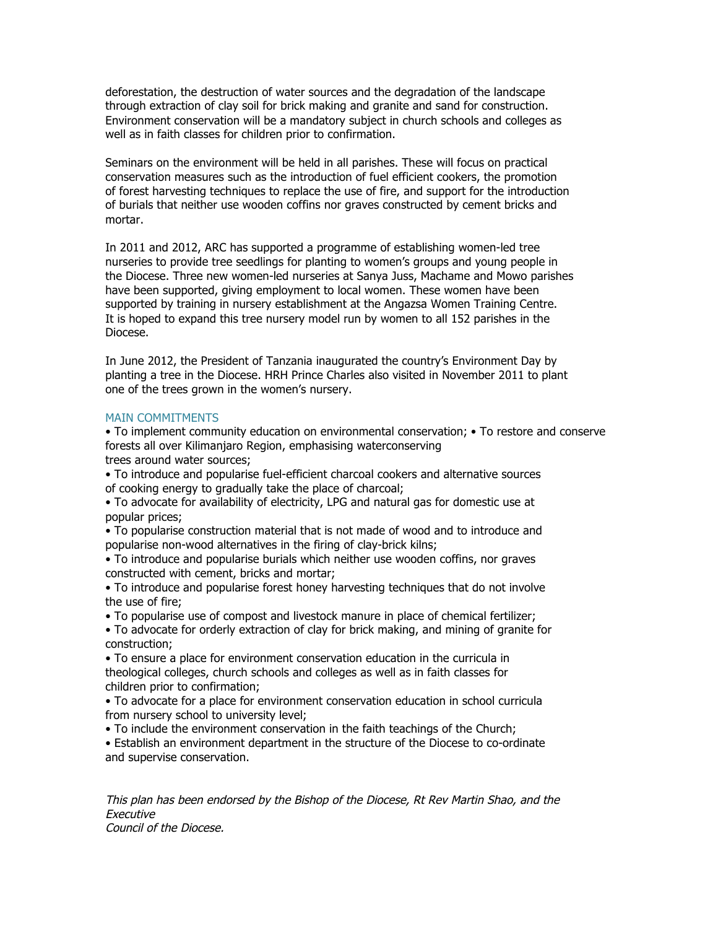deforestation, the destruction of water sources and the degradation of the landscape through extraction of clay soil for brick making and granite and sand for construction. Environment conservation will be a mandatory subject in church schools and colleges as well as in faith classes for children prior to confirmation.

Seminars on the environment will be held in all parishes. These will focus on practical conservation measures such as the introduction of fuel efficient cookers, the promotion of forest harvesting techniques to replace the use of fire, and support for the introduction of burials that neither use wooden coffins nor graves constructed by cement bricks and mortar.

In 2011 and 2012, ARC has supported a programme of establishing women-led tree nurseries to provide tree seedlings for planting to women's groups and young people in the Diocese. Three new women-led nurseries at Sanya Juss, Machame and Mowo parishes have been supported, giving employment to local women. These women have been supported by training in nursery establishment at the Angazsa Women Training Centre. It is hoped to expand this tree nursery model run by women to all 152 parishes in the Diocese.

In June 2012, the President of Tanzania inaugurated the country's Environment Day by planting a tree in the Diocese. HRH Prince Charles also visited in November 2011 to plant one of the trees grown in the women's nursery.

### MAIN COMMITMENTS

• To implement community education on environmental conservation; • To restore and conserve forests all over Kilimanjaro Region, emphasising waterconserving

trees around water sources;

- To introduce and popularise fuel-efficient charcoal cookers and alternative sources of cooking energy to gradually take the place of charcoal;
- To advocate for availability of electricity, LPG and natural gas for domestic use at popular prices;
- To popularise construction material that is not made of wood and to introduce and popularise non-wood alternatives in the firing of clay-brick kilns;
- To introduce and popularise burials which neither use wooden coffins, nor graves constructed with cement, bricks and mortar;
- To introduce and popularise forest honey harvesting techniques that do not involve the use of fire;
- To popularise use of compost and livestock manure in place of chemical fertilizer;
- To advocate for orderly extraction of clay for brick making, and mining of granite for construction;
- To ensure a place for environment conservation education in the curricula in theological colleges, church schools and colleges as well as in faith classes for children prior to confirmation;
- To advocate for a place for environment conservation education in school curricula from nursery school to university level;
- To include the environment conservation in the faith teachings of the Church;

• Establish an environment department in the structure of the Diocese to co-ordinate and supervise conservation.

This plan has been endorsed by the Bishop of the Diocese, Rt Rev Martin Shao, and the Executive Council of the Diocese.